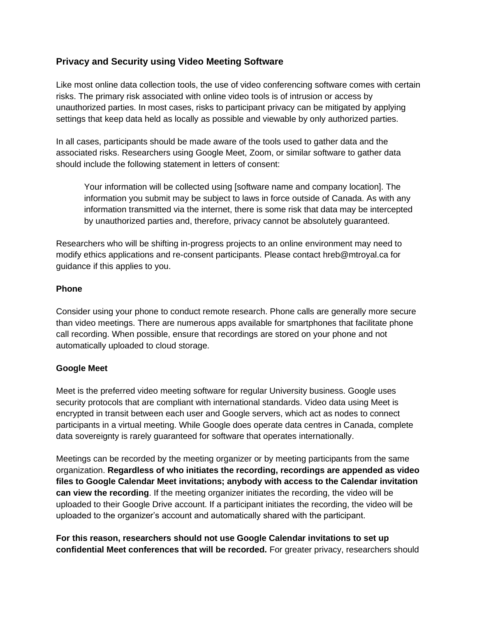# **Privacy and Security using Video Meeting Software**

Like most online data collection tools, the use of video conferencing software comes with certain risks. The primary risk associated with online video tools is of intrusion or access by unauthorized parties. In most cases, risks to participant privacy can be mitigated by applying settings that keep data held as locally as possible and viewable by only authorized parties.

In all cases, participants should be made aware of the tools used to gather data and the associated risks. Researchers using Google Meet, Zoom, or similar software to gather data should include the following statement in letters of consent:

Your information will be collected using [software name and company location]. The information you submit may be subject to laws in force outside of Canada. As with any information transmitted via the internet, there is some risk that data may be intercepted by unauthorized parties and, therefore, privacy cannot be absolutely guaranteed.

Researchers who will be shifting in-progress projects to an online environment may need to modify ethics applications and re-consent participants. Please contact hreb@mtroyal.ca for guidance if this applies to you.

#### **Phone**

Consider using your phone to conduct remote research. Phone calls are generally more secure than video meetings. There are numerous apps available for smartphones that facilitate phone call recording. When possible, ensure that recordings are stored on your phone and not automatically uploaded to cloud storage.

### **Google Meet**

Meet is the preferred video meeting software for regular University business. Google uses security protocols that are compliant with international standards. Video data using Meet is encrypted in transit between each user and Google servers, which act as nodes to connect participants in a virtual meeting. While Google does operate data centres in Canada, complete data sovereignty is rarely guaranteed for software that operates internationally.

Meetings can be recorded by the meeting organizer or by meeting participants from the same organization. **Regardless of who initiates the recording, recordings are appended as video files to Google Calendar Meet invitations; anybody with access to the Calendar invitation can view the recording**. If the meeting organizer initiates the recording, the video will be uploaded to their Google Drive account. If a participant initiates the recording, the video will be uploaded to the organizer's account and automatically shared with the participant.

**For this reason, researchers should not use Google Calendar invitations to set up confidential Meet conferences that will be recorded.** For greater privacy, researchers should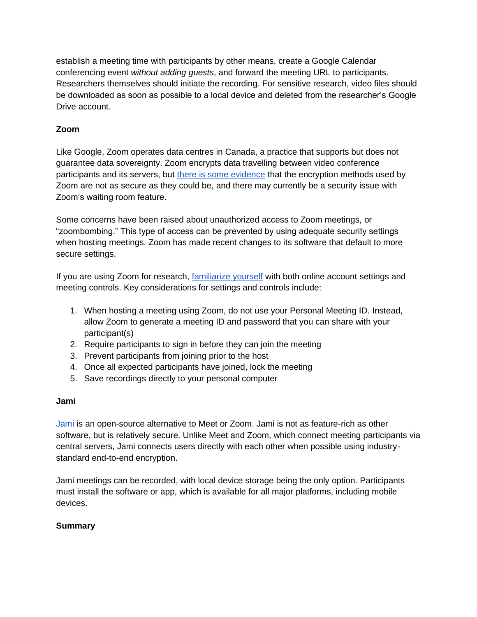establish a meeting time with participants by other means, create a Google Calendar conferencing event *without adding guests*, and forward the meeting URL to participants. Researchers themselves should initiate the recording. For sensitive research, video files should be downloaded as soon as possible to a local device and deleted from the researcher's Google Drive account.

# **Zoom**

Like Google, Zoom operates data centres in Canada, a practice that supports but does not guarantee data sovereignty. Zoom encrypts data travelling between video conference participants and its servers, but [there is some evidence](https://citizenlab.ca/2020/04/move-fast-roll-your-own-crypto-a-quick-look-at-the-confidentiality-of-zoom-meetings/) that the encryption methods used by Zoom are not as secure as they could be, and there may currently be a security issue with Zoom's waiting room feature.

Some concerns have been raised about unauthorized access to Zoom meetings, or "zoombombing." This type of access can be prevented by using adequate security settings when hosting meetings. Zoom has made recent changes to its software that default to more secure settings.

If you are using Zoom for research, [familiarize yourself](https://www.youtube.com/watch?v=ygZ96J_z4AY&t=422s) with both online account settings and meeting controls. Key considerations for settings and controls include:

- 1. When hosting a meeting using Zoom, do not use your Personal Meeting ID. Instead, allow Zoom to generate a meeting ID and password that you can share with your participant(s)
- 2. Require participants to sign in before they can join the meeting
- 3. Prevent participants from joining prior to the host
- 4. Once all expected participants have joined, lock the meeting
- 5. Save recordings directly to your personal computer

### **Jami**

[Jami](https://jami.net/) is an open-source alternative to Meet or Zoom. Jami is not as feature-rich as other software, but is relatively secure. Unlike Meet and Zoom, which connect meeting participants via central servers, Jami connects users directly with each other when possible using industrystandard end-to-end encryption.

Jami meetings can be recorded, with local device storage being the only option. Participants must install the software or app, which is available for all major platforms, including mobile devices.

### **Summary**